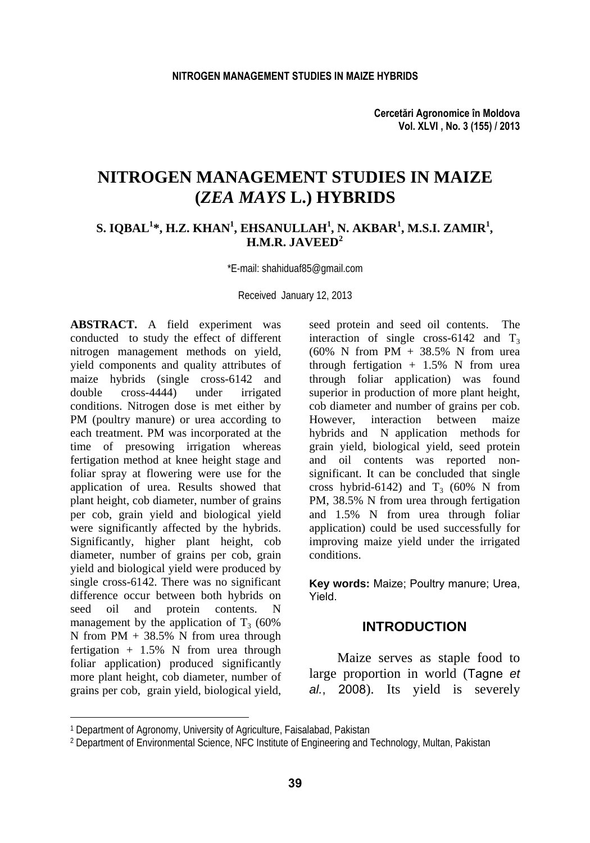# **NITROGEN MANAGEMENT STUDIES IN MAIZE (***ZEA MAYS* **L.) HYBRIDS**

## **S. IQBAL1 \*, H.Z. KHAN<sup>1</sup> , EHSANULLAH<sup>1</sup> , N. AKBAR<sup>1</sup> , M.S.I. ZAMIR<sup>1</sup> , H.M.R. JAVEED<sup>2</sup>**

\*E-mail: shahiduaf85@gmail.com

Received January 12, 2013

**ABSTRACT.** A field experiment was conducted to study the effect of different nitrogen management methods on yield, yield components and quality attributes of maize hybrids (single cross-6142 and double cross-4444) under irrigated conditions. Nitrogen dose is met either by PM (poultry manure) or urea according to each treatment. PM was incorporated at the time of presowing irrigation whereas fertigation method at knee height stage and foliar spray at flowering were use for the application of urea. Results showed that plant height, cob diameter, number of grains per cob, grain yield and biological yield were significantly affected by the hybrids. Significantly, higher plant height, cob diameter, number of grains per cob, grain yield and biological yield were produced by single cross-6142. There was no significant difference occur between both hybrids on seed oil and protein contents. N management by the application of  $T_3$  (60%) N from PM + 38.5% N from urea through fertigation  $+ 1.5\%$  N from urea through foliar application) produced significantly more plant height, cob diameter, number of grains per cob, grain yield, biological yield,

l

seed protein and seed oil contents. The interaction of single cross-6142 and  $T_3$  $(60\% \text{ N from PM} + 38.5\% \text{ N from urea})$ through fertigation  $+ 1.5\%$  N from urea through foliar application) was found superior in production of more plant height, cob diameter and number of grains per cob. However, interaction between maize hybrids and N application methods for grain yield, biological yield, seed protein and oil contents was reported nonsignificant. It can be concluded that single cross hybrid-6142) and  $T_3$  (60% N from PM, 38.5% N from urea through fertigation and 1.5% N from urea through foliar application) could be used successfully for improving maize yield under the irrigated conditions.

**Key words:** Maize; Poultry manure; Urea, Yield.

## **INTRODUCTION**

Maize serves as staple food to large proportion in world (Tagne *et al.*, 2008). Its yield is severely

<sup>1</sup> Department of Agronomy, University of Agriculture, Faisalabad, Pakistan

<sup>2</sup> Department of Environmental Science, NFC Institute of Engineering and Technology, Multan, Pakistan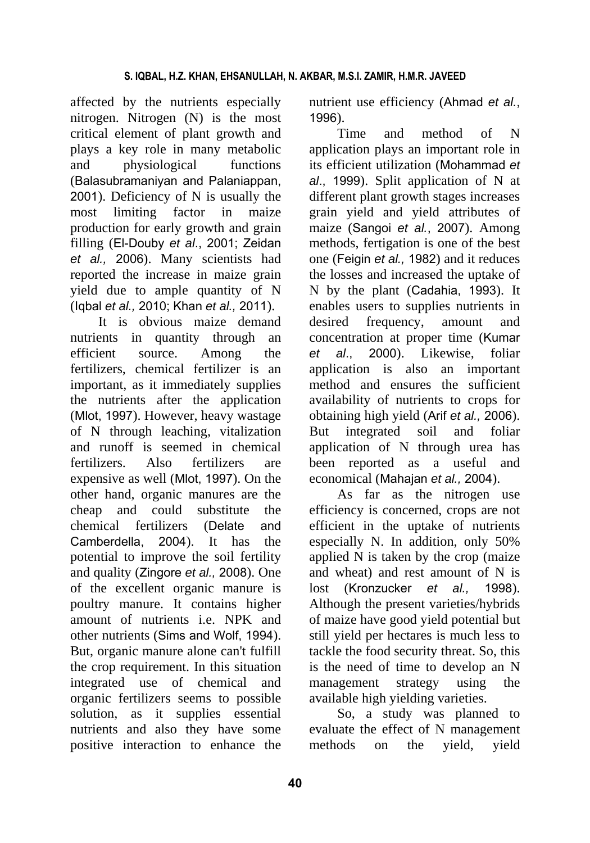affected by the nutrients especially nitrogen. Nitrogen (N) is the most critical element of plant growth and plays a key role in many metabolic and physiological functions (Balasubramaniyan and Palaniappan, 2001). Deficiency of N is usually the most limiting factor in maize production for early growth and grain filling (El-Douby *et al*., 2001; Zeidan *et al.,* 2006). Many scientists had reported the increase in maize grain yield due to ample quantity of N (Iqbal *et al.,* 2010; Khan *et al.,* 2011).

It is obvious maize demand nutrients in quantity through an efficient source. Among the fertilizers, chemical fertilizer is an important, as it immediately supplies the nutrients after the application (Mlot, 1997). However, heavy wastage of N through leaching, vitalization and runoff is seemed in chemical fertilizers. Also fertilizers are expensive as well (Mlot, 1997). On the other hand, organic manures are the cheap and could substitute the chemical fertilizers (Delate and Camberdella, 2004). It has the potential to improve the soil fertility and quality (Zingore *et al.,* 2008). One of the excellent organic manure is poultry manure. It contains higher amount of nutrients i.e. NPK and other nutrients (Sims and Wolf, 1994). But, organic manure alone can't fulfill the crop requirement. In this situation integrated use of chemical and organic fertilizers seems to possible solution, as it supplies essential nutrients and also they have some positive interaction to enhance the

nutrient use efficiency (Ahmad *et al.*, 1996).

Time and method of N application plays an important role in its efficient utilization (Mohammad *et al*., 1999). Split application of N at different plant growth stages increases grain yield and yield attributes of maize (Sangoi *et al.*, 2007). Among methods, fertigation is one of the best one (Feigin *et al.,* 1982) and it reduces the losses and increased the uptake of N by the plant (Cadahia, 1993). It enables users to supplies nutrients in desired frequency, amount and concentration at proper time (Kumar *et al*., 2000). Likewise, foliar application is also an important method and ensures the sufficient availability of nutrients to crops for obtaining high yield (Arif *et al.,* 2006). But integrated soil and foliar application of N through urea has been reported as a useful and economical (Mahajan *et al.,* 2004).

As far as the nitrogen use efficiency is concerned, crops are not efficient in the uptake of nutrients especially N. In addition, only 50% applied N is taken by the crop (maize and wheat) and rest amount of N is lost (Kronzucker *et al.,* 1998). Although the present varieties/hybrids of maize have good yield potential but still yield per hectares is much less to tackle the food security threat. So, this is the need of time to develop an N management strategy using the available high yielding varieties.

So, a study was planned to evaluate the effect of N management methods on the yield, yield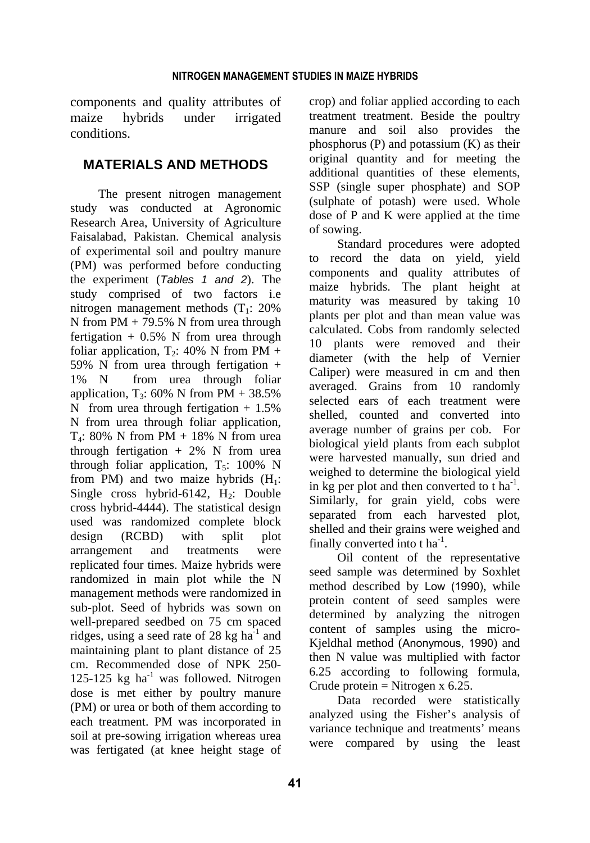components and quality attributes of maize hybrids under irrigated conditions.

## **MATERIALS AND METHODS**

The present nitrogen management study was conducted at Agronomic Research Area, University of Agriculture Faisalabad, Pakistan. Chemical analysis of experimental soil and poultry manure (PM) was performed before conducting the experiment (*Tables 1 and 2*). The study comprised of two factors i.e nitrogen management methods  $(T_1: 20\%)$ N from PM + 79.5% N from urea through fertigation  $+ 0.5\%$  N from urea through foliar application,  $T_2$ : 40% N from PM + 59% N from urea through fertigation  $+$ 1% N from urea through foliar application,  $T_3$ : 60% N from PM + 38.5% N from urea through fertigation  $+1.5\%$ N from urea through foliar application,  $T_4$ : 80% N from PM + 18% N from urea through fertigation  $+ 2\%$  N from urea through foliar application,  $T_5$ : 100% N from PM) and two maize hybrids  $(H_1:$ Single cross hybrid-6142,  $H_2$ : Double cross hybrid-4444). The statistical design used was randomized complete block design (RCBD) with split plot arrangement and treatments were replicated four times. Maize hybrids were randomized in main plot while the N management methods were randomized in sub-plot. Seed of hybrids was sown on well-prepared seedbed on 75 cm spaced ridges, using a seed rate of 28 kg  $ha^{-1}$  and maintaining plant to plant distance of 25 cm. Recommended dose of NPK 250- 125-125 kg ha<sup>-1</sup> was followed. Nitrogen dose is met either by poultry manure (PM) or urea or both of them according to each treatment. PM was incorporated in soil at pre-sowing irrigation whereas urea was fertigated (at knee height stage of crop) and foliar applied according to each treatment treatment. Beside the poultry manure and soil also provides the phosphorus (P) and potassium (K) as their original quantity and for meeting the additional quantities of these elements, SSP (single super phosphate) and SOP (sulphate of potash) were used. Whole dose of P and K were applied at the time of sowing.

Standard procedures were adopted to record the data on yield, yield components and quality attributes of maize hybrids. The plant height at maturity was measured by taking 10 plants per plot and than mean value was calculated. Cobs from randomly selected 10 plants were removed and their diameter (with the help of Vernier Caliper) were measured in cm and then averaged. Grains from 10 randomly selected ears of each treatment were shelled, counted and converted into average number of grains per cob. For biological yield plants from each subplot were harvested manually, sun dried and weighed to determine the biological yield in kg per plot and then converted to  $t$  ha<sup>-1</sup>. Similarly, for grain yield, cobs were separated from each harvested plot, shelled and their grains were weighed and finally converted into t ha<sup>-1</sup>.

Oil content of the representative seed sample was determined by Soxhlet method described by Low (1990), while protein content of seed samples were determined by analyzing the nitrogen content of samples using the micro-Kjeldhal method (Anonymous, 1990) and then N value was multiplied with factor 6.25 according to following formula, Crude protein = Nitrogen  $x$  6.25.

Data recorded were statistically analyzed using the Fisher's analysis of variance technique and treatments' means were compared by using the least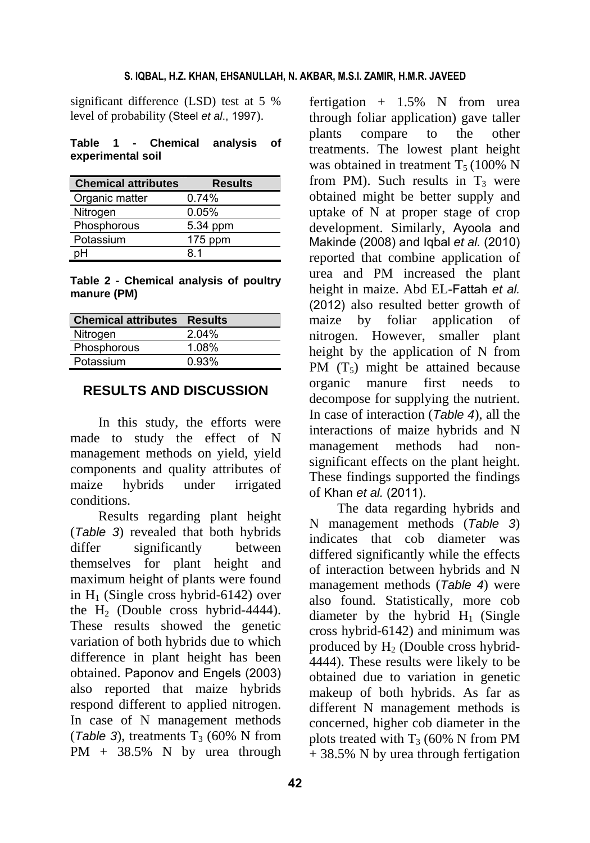significant difference (LSD) test at 5 % level of probability (Steel *et al*., 1997).

**Table 1 - Chemical analysis of experimental soil** 

| <b>Chemical attributes</b> | <b>Results</b> |
|----------------------------|----------------|
| Organic matter             | 0.74%          |
| Nitrogen                   | 0.05%          |
| Phosphorous                | 5.34 ppm       |
| Potassium                  | $175$ ppm      |
|                            | 81             |

**Table 2 - Chemical analysis of poultry manure (PM)** 

| <b>Chemical attributes Results</b> |       |
|------------------------------------|-------|
| Nitrogen                           | 2.04% |
| Phosphorous                        | 1.08% |
| Potassium                          | 0.93% |

## **RESULTS AND DISCUSSION**

In this study, the efforts were made to study the effect of N management methods on yield, yield components and quality attributes of maize hybrids under irrigated conditions.

Results regarding plant height (*Table 3*) revealed that both hybrids differ significantly between themselves for plant height and maximum height of plants were found in  $H<sub>1</sub>$  (Single cross hybrid-6142) over the  $H<sub>2</sub>$  (Double cross hybrid-4444). These results showed the genetic variation of both hybrids due to which difference in plant height has been obtained. Paponov and Engels (2003) also reported that maize hybrids respond different to applied nitrogen. In case of N management methods (*Table 3*), treatments  $T_3$  (60% N from PM + 38.5% N by urea through

fertigation  $+$  1.5% N from urea through foliar application) gave taller plants compare to the other treatments. The lowest plant height was obtained in treatment  $T_5 (100\% N)$ from PM). Such results in  $T_3$  were obtained might be better supply and uptake of N at proper stage of crop development. Similarly, Ayoola and Makinde (2008) and Iqbal *et al.* (2010) reported that combine application of urea and PM increased the plant height in maize. Abd EL-Fattah *et al.* (2012) also resulted better growth of maize by foliar application of nitrogen. However, smaller plant height by the application of N from PM  $(T_5)$  might be attained because organic manure first needs to decompose for supplying the nutrient. In case of interaction (*Table 4*), all the interactions of maize hybrids and N management methods had nonsignificant effects on the plant height. These findings supported the findings of Khan *et al.* (2011).

The data regarding hybrids and N management methods (*Table 3*) indicates that cob diameter was differed significantly while the effects of interaction between hybrids and N management methods (*Table 4*) were also found. Statistically, more cob diameter by the hybrid  $H_1$  (Single cross hybrid-6142) and minimum was produced by  $H_2$  (Double cross hybrid-4444). These results were likely to be obtained due to variation in genetic makeup of both hybrids. As far as different N management methods is concerned, higher cob diameter in the plots treated with  $T_3$  (60% N from PM  $+$  38.5% N by urea through fertigation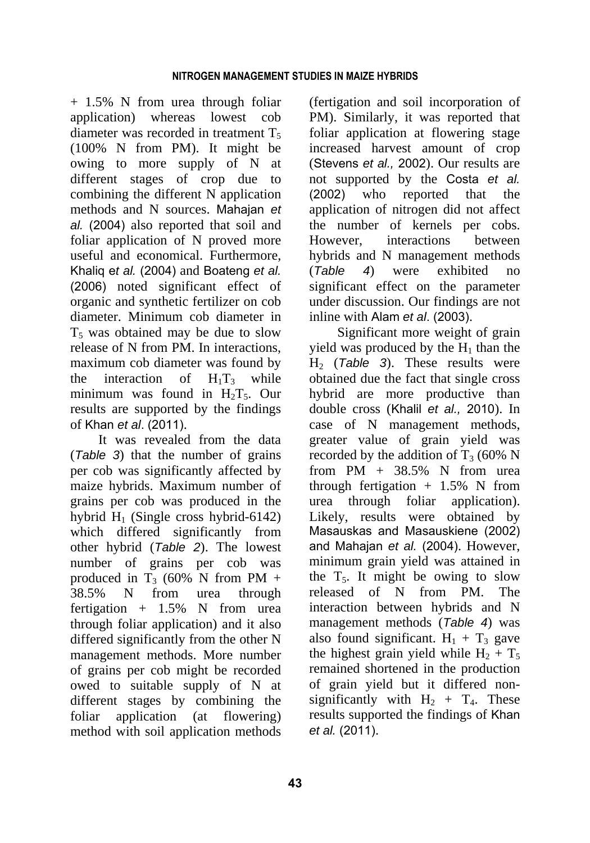+ 1.5% N from urea through foliar application) whereas lowest cob diameter was recorded in treatment  $T<sub>5</sub>$ (100% N from PM). It might be owing to more supply of N at different stages of crop due to combining the different N application methods and N sources. Mahajan *et al.* (2004) also reported that soil and foliar application of N proved more useful and economical. Furthermore, Khaliq e*t al.* (2004) and Boateng *et al.* (2006) noted significant effect of organic and synthetic fertilizer on cob diameter. Minimum cob diameter in  $T<sub>5</sub>$  was obtained may be due to slow release of N from PM. In interactions, maximum cob diameter was found by the interaction of  $H_1T_3$  while minimum was found in  $H_2T_5$ . Our results are supported by the findings of Khan *et al*. (2011).

It was revealed from the data (*Table 3*) that the number of grains per cob was significantly affected by maize hybrids. Maximum number of grains per cob was produced in the hybrid  $H_1$  (Single cross hybrid-6142) which differed significantly from other hybrid (*Table 2*). The lowest number of grains per cob was produced in  $T_3$  (60% N from PM + 38.5% N from urea through fertigation  $+$  1.5% N from urea through foliar application) and it also differed significantly from the other N management methods. More number of grains per cob might be recorded owed to suitable supply of N at different stages by combining the foliar application (at flowering) method with soil application methods

(fertigation and soil incorporation of PM). Similarly, it was reported that foliar application at flowering stage increased harvest amount of crop (Stevens *et al.,* 2002). Our results are not supported by the Costa *et al.*  (2002) who reported that the application of nitrogen did not affect the number of kernels per cobs. However, interactions between hybrids and N management methods (*Table 4*) were exhibited no significant effect on the parameter under discussion. Our findings are not inline with Alam *et al*. (2003).

Significant more weight of grain yield was produced by the  $H_1$  than the H2 (*Table 3*). These results were obtained due the fact that single cross hybrid are more productive than double cross (Khalil *et al.,* 2010). In case of N management methods, greater value of grain yield was recorded by the addition of  $T_3$  (60% N from  $PM + 38.5\%$  N from urea through fertigation  $+ 1.5\%$  N from urea through foliar application). Likely, results were obtained by Masauskas and Masauskiene (2002) and Mahajan *et al.* (2004). However, minimum grain yield was attained in the  $T_5$ . It might be owing to slow released of N from PM. The interaction between hybrids and N management methods (*Table 4*) was also found significant.  $H_1 + T_3$  gave the highest grain yield while  $H_2 + T_5$ remained shortened in the production of grain yield but it differed nonsignificantly with  $H_2 + T_4$ . These results supported the findings of Khan *et al.* (2011).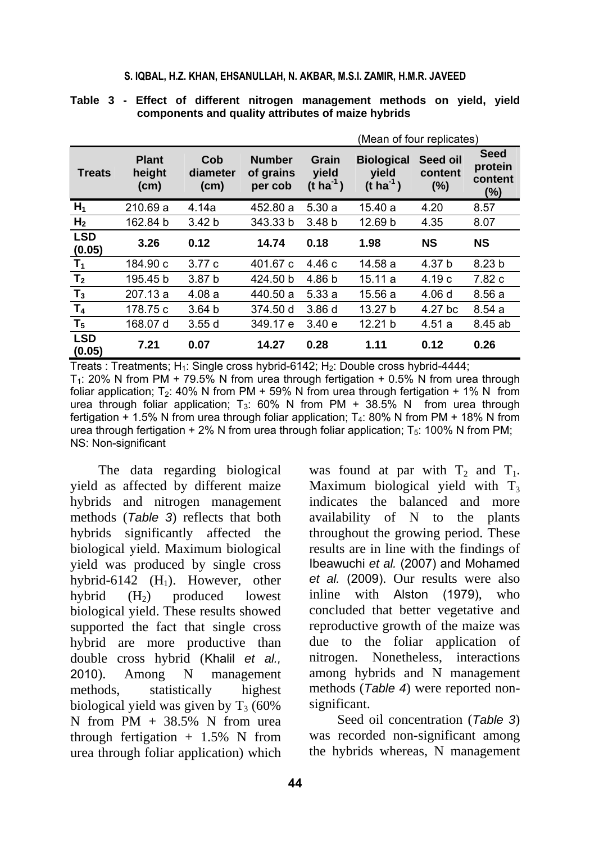#### **S. IQBAL, H.Z. KHAN, EHSANULLAH, N. AKBAR, M.S.I. ZAMIR, H.M.R. JAVEED**

|                      |                                             |                                      |                                       | (Mean of four replicates)               |                                                     |                            |                                             |  |
|----------------------|---------------------------------------------|--------------------------------------|---------------------------------------|-----------------------------------------|-----------------------------------------------------|----------------------------|---------------------------------------------|--|
| <b>Treats</b>        | <b>Plant</b><br>height<br>(c <sub>m</sub> ) | Cob<br>diameter<br>(c <sub>m</sub> ) | <b>Number</b><br>of grains<br>per cob | Grain<br>vield<br>$(t \text{ ha}^{-1})$ | <b>Biological</b><br>vield<br>$(t \text{ ha}^{-1})$ | Seed oil<br>content<br>(%) | <b>Seed</b><br>protein<br>content<br>$(\%)$ |  |
| $H_1$                | 210.69 a                                    | 4.14a                                | 452.80 a                              | 5.30a                                   | 15.40 a                                             | 4.20                       | 8.57                                        |  |
| H <sub>2</sub>       | 162.84 b                                    | 3.42 <sub>b</sub>                    | 343.33 b                              | 3.48 <sub>b</sub>                       | 12.69 b                                             | 4.35                       | 8.07                                        |  |
| <b>LSD</b><br>(0.05) | 3.26                                        | 0.12                                 | 14.74                                 | 0.18                                    | 1.98                                                | <b>NS</b>                  | <b>NS</b>                                   |  |
| $T_1$                | 184.90 c                                    | 3.77c                                | 401.67 c                              | 4.46 c                                  | 14.58 a                                             | 4.37 b                     | 8.23 <sub>b</sub>                           |  |
| T <sub>2</sub>       | 195.45 b                                    | 3.87 <sub>b</sub>                    | 424.50 b                              | 4.86 b                                  | 15.11a                                              | 4.19c                      | 7.82 c                                      |  |
| $T_3$                | 207.13 a                                    | 4.08a                                | 440.50 a                              | 5.33a                                   | 15.56 a                                             | 4.06d                      | 8.56a                                       |  |
| T <sub>4</sub>       | 178.75 c                                    | 3.64 <sub>b</sub>                    | 374.50 d                              | 3.86d                                   | 13.27 b                                             | 4.27 bc                    | 8.54a                                       |  |
| T <sub>5</sub>       | 168.07 d                                    | 3.55d                                | 349.17 e                              | 3.40 e                                  | 12.21 b                                             | 4.51a                      | 8.45 ab                                     |  |
| <b>LSD</b><br>(0.05) | 7.21                                        | 0.07                                 | 14.27                                 | 0.28                                    | 1.11                                                | 0.12                       | 0.26                                        |  |

**Table 3 - Effect of different nitrogen management methods on yield, yield components and quality attributes of maize hybrids** 

Treats : Treatments; H<sub>1</sub>: Single cross hybrid-6142; H<sub>2</sub>: Double cross hybrid-4444;  $T_1$ : 20% N from PM + 79.5% N from urea through fertigation + 0.5% N from urea through foliar application; T<sub>2</sub>: 40% N from PM + 59% N from urea through fertigation + 1% N from urea through foliar application; T<sub>3</sub>: 60% N from PM + 38.5% N from urea through fertigation  $+$  1.5% N from urea through foliar application; T<sub>4</sub>: 80% N from PM + 18% N from urea through fertigation  $+ 2\%$  N from urea through foliar application;  $T_5$ : 100% N from PM; NS: Non-significant

The data regarding biological yield as affected by different maize hybrids and nitrogen management methods (*Table 3*) reflects that both hybrids significantly affected the biological yield. Maximum biological yield was produced by single cross hybrid-6142  $(H_1)$ . However, other hybrid  $(H_2)$  produced lowest biological yield. These results showed supported the fact that single cross hybrid are more productive than double cross hybrid (Khalil *et al.,* 2010). Among N management methods, statistically highest biological yield was given by  $T_3$  (60%) N from  $PM + 38.5\%$  N from urea through fertigation  $+ 1.5\%$  N from urea through foliar application) which was found at par with  $T_2$  and  $T_1$ . Maximum biological yield with  $T_3$ indicates the balanced and more availability of N to the plants throughout the growing period. These results are in line with the findings of Ibeawuchi *et al.* (2007) and Mohamed *et al.* (2009). Our results were also inline with Alston (1979), who concluded that better vegetative and reproductive growth of the maize was due to the foliar application of nitrogen. Nonetheless, interactions among hybrids and N management methods (*Table 4*) were reported nonsignificant.

Seed oil concentration (*Table 3*) was recorded non-significant among the hybrids whereas, N management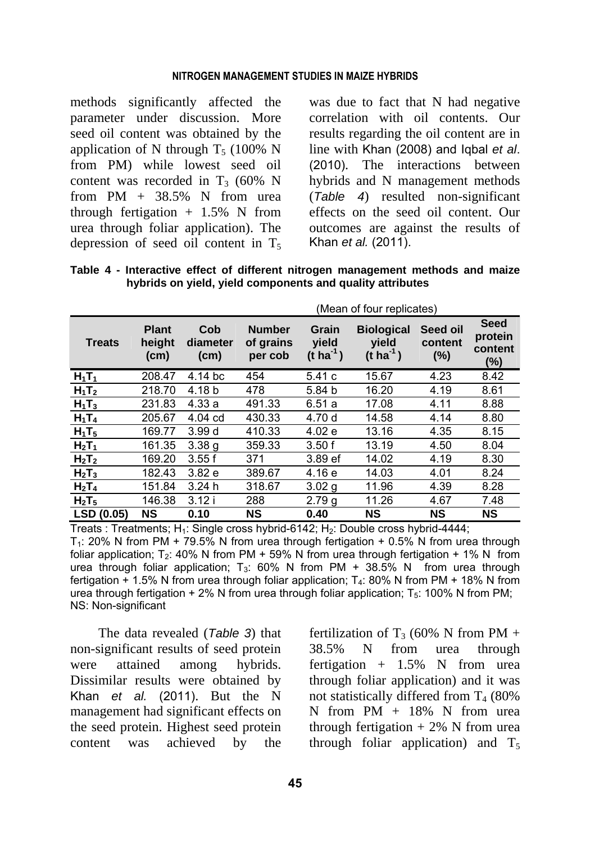#### **NITROGEN MANAGEMENT STUDIES IN MAIZE HYBRIDS**

methods significantly affected the parameter under discussion. More seed oil content was obtained by the application of N through  $T<sub>5</sub>$  (100% N from PM) while lowest seed oil content was recorded in  $T_3$  (60% N from  $PM + 38.5\%$  N from urea through fertigation  $+ 1.5\%$  N from urea through foliar application). The depression of seed oil content in  $T_5$  was due to fact that N had negative correlation with oil contents. Our results regarding the oil content are in line with Khan (2008) and Iqbal *et al*. (2010). The interactions between hybrids and N management methods (*Table 4*) resulted non-significant effects on the seed oil content. Our outcomes are against the results of Khan *et al.* (2011).

**Table 4 - Interactive effect of different nitrogen management methods and maize hybrids on yield, yield components and quality attributes** 

|                               |                                             | (Mean of four replicates)            |                                       |                                         |                                                     |                            |                                             |
|-------------------------------|---------------------------------------------|--------------------------------------|---------------------------------------|-----------------------------------------|-----------------------------------------------------|----------------------------|---------------------------------------------|
| <b>Treats</b>                 | <b>Plant</b><br>height<br>(c <sub>m</sub> ) | Cob<br>diameter<br>(c <sub>m</sub> ) | <b>Number</b><br>of grains<br>per cob | Grain<br>vield<br>$(t \text{ ha}^{-1})$ | <b>Biological</b><br>vield<br>$(t \text{ ha}^{-1})$ | Seed oil<br>content<br>(%) | <b>Seed</b><br>protein<br>content<br>$(\%)$ |
| $H_1T_1$                      | 208.47                                      | 4.14 bc                              | 454                                   | 5.41c                                   | 15.67                                               | 4.23                       | 8.42                                        |
| $H_1T_2$                      | 218.70                                      | 4.18 b                               | 478                                   | 5.84 b                                  | 16.20                                               | 4.19                       | 8.61                                        |
| $H_1T_3$                      | 231.83                                      | 4.33a                                | 491.33                                | 6.51a                                   | 17.08                                               | 4.11                       | 8.88                                        |
| $H_1T_4$                      | 205.67                                      | $4.04$ cd                            | 430.33                                | 4.70 d                                  | 14.58                                               | 4.14                       | 8.80                                        |
| $H_1T_5$                      | 169.77                                      | 3.99d                                | 410.33                                | 4.02 e                                  | 13.16                                               | 4.35                       | 8.15                                        |
| $H_2T_1$                      | 161.35                                      | 3.38q                                | 359.33                                | 3.50f                                   | 13.19                                               | 4.50                       | 8.04                                        |
| $H_2T_2$                      | 169.20                                      | 3.55f                                | 371                                   | 3.89 ef                                 | 14.02                                               | 4.19                       | 8.30                                        |
| H <sub>2</sub> T <sub>3</sub> | 182.43                                      | 3.82 e                               | 389.67                                | 4.16 e                                  | 14.03                                               | 4.01                       | 8.24                                        |
| $H_2T_4$                      | 151.84                                      | 3.24h                                | 318.67                                | 3.02 g                                  | 11.96                                               | 4.39                       | 8.28                                        |
| H <sub>2</sub> T <sub>5</sub> | 146.38                                      | 3.12i                                | 288                                   | 2.79 <sub>g</sub>                       | 11.26                                               | 4.67                       | 7.48                                        |
| LSD (0.05)                    | <b>NS</b>                                   | 0.10                                 | <b>NS</b>                             | 0.40                                    | <b>NS</b>                                           | <b>NS</b>                  | NS                                          |

Treats : Treatments;  $H_1$ : Single cross hybrid-6142;  $H_2$ : Double cross hybrid-4444;  $T_1$ : 20% N from PM + 79.5% N from urea through fertigation + 0.5% N from urea through foliar application; T<sub>2</sub>: 40% N from PM + 59% N from urea through fertigation + 1% N from urea through foliar application;  $T_3$ : 60% N from PM + 38.5% N from urea through fertigation  $+$  1.5% N from urea through foliar application;  $T_4$ : 80% N from PM + 18% N from urea through fertigation + 2% N from urea through foliar application;  $T_5$ : 100% N from PM; NS: Non-significant

The data revealed (*Table 3*) that non-significant results of seed protein were attained among hybrids. Dissimilar results were obtained by Khan *et al.* (2011). But the N management had significant effects on the seed protein. Highest seed protein content was achieved by the

fertilization of T<sub>3</sub> (60% N from PM + 38.5% N from urea through fertigation  $+$  1.5% N from urea through foliar application) and it was not statistically differed from  $T_4$  (80%) N from PM + 18% N from urea through fertigation  $+ 2\%$  N from urea through foliar application) and  $T_5$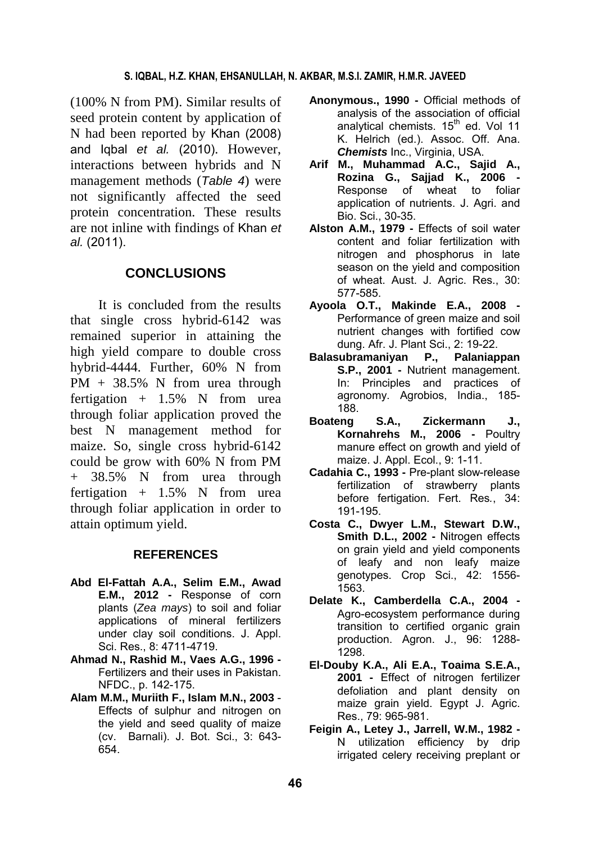### **S. IQBAL, H.Z. KHAN, EHSANULLAH, N. AKBAR, M.S.I. ZAMIR, H.M.R. JAVEED**

(100% N from PM). Similar results of seed protein content by application of N had been reported by Khan (2008) and Iqbal *et al.* (2010). However, interactions between hybrids and N management methods (*Table 4*) were not significantly affected the seed protein concentration. These results are not inline with findings of Khan *et al.* (2011).

## **CONCLUSIONS**

It is concluded from the results that single cross hybrid-6142 was remained superior in attaining the high yield compare to double cross hybrid-4444. Further, 60% N from PM + 38.5% N from urea through fertigation  $+$  1.5% N from urea through foliar application proved the best N management method for maize. So, single cross hybrid-6142 could be grow with 60% N from PM + 38.5% N from urea through fertigation  $+$  1.5% N from urea through foliar application in order to attain optimum yield.

#### **REFERENCES**

- **Abd El-Fattah A.A., Selim E.M., Awad E.M., 2012 -** Response of corn plants (*Zea mays*) to soil and foliar applications of mineral fertilizers under clay soil conditions. J. Appl. Sci. Res., 8: 4711-4719.
- **Ahmad N., Rashid M., Vaes A.G., 1996**  Fertilizers and their uses in Pakistan. NFDC., p. 142-175.
- **Alam M.M., Muriith F., Islam M.N., 2003**  Effects of sulphur and nitrogen on the yield and seed quality of maize (cv. Barnali). J. Bot. Sci., 3: 643- 654.
- **Anonymous., 1990** Official methods of analysis of the association of official analytical chemists. 15<sup>th</sup> ed. Vol 11 K. Helrich (ed.). Assoc. Off. Ana. *Chemists* Inc., Virginia, USA.
- **Arif M., Muhammad A.C., Sajid A., Rozina G., Sajjad K., 2006 -**  Response of wheat to foliar application of nutrients. J. Agri. and Bio. Sci., 30-35.
- **Alston A.M., 1979** Effects of soil water content and foliar fertilization with nitrogen and phosphorus in late season on the yield and composition of wheat. Aust. J. Agric. Res., 30: 577-585.
- **Ayoola O.T., Makinde E.A., 2008**  Performance of green maize and soil nutrient changes with fortified cow dung. Afr. J. Plant Sci., 2: 19-22.
- **Balasubramaniyan P., Palaniappan S.P., 2001 -** Nutrient management. In: Principles and practices of agronomy. Agrobios, India., 185- 188.
- **Boateng S.A., Zickermann J., Kornahrehs M., 2006 -** Poultry manure effect on growth and yield of maize. J. Appl. Ecol., 9: 1-11.
- **Cadahia C., 1993** Pre-plant slow-release fertilization of strawberry plants before fertigation. Fert. Res*.*, 34: 191-195.
- **Costa C., Dwyer L.M., Stewart D.W., Smith D.L., 2002 -** Nitrogen effects on grain yield and yield components of leafy and non leafy maize genotypes. Crop Sci., 42: 1556- 1563.
- **Delate K., Camberdella C.A., 2004**  Agro-ecosystem performance during transition to certified organic grain production. Agron. J., 96: 1288- 1298.
- **El-Douby K.A., Ali E.A., Toaima S.E.A., 2001 -** Effect of nitrogen fertilizer defoliation and plant density on maize grain yield. Egypt J. Agric. Res., 79: 965-981.
- **Feigin A., Letey J., Jarrell, W.M., 1982**  N utilization efficiency by drip irrigated celery receiving preplant or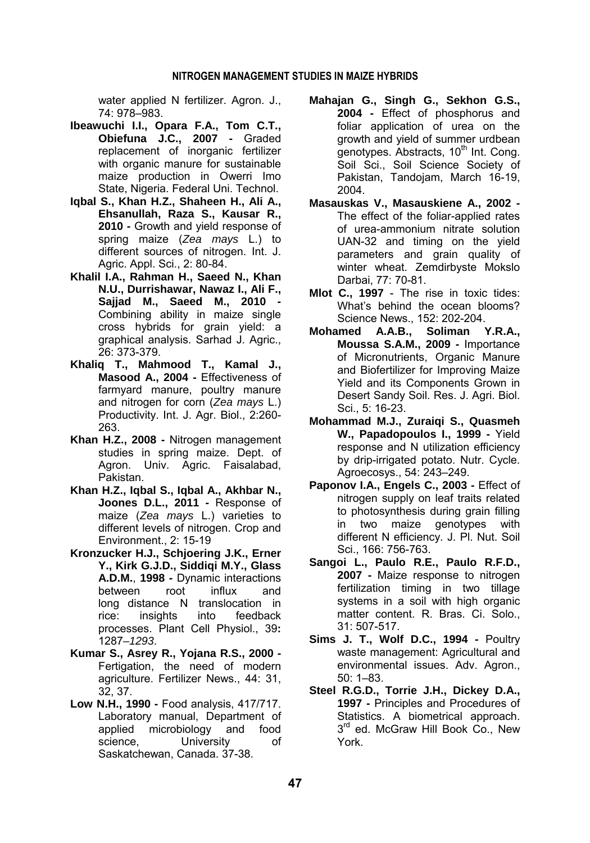water applied N fertilizer. Agron. J., 74: 978–983.

- **Ibeawuchi I.I., Opara F.A., Tom C.T., Obiefuna J.C., 2007 -** Graded replacement of inorganic fertilizer with organic manure for sustainable maize production in Owerri Imo State, Nigeria. Federal Uni. Technol.
- **Iqbal S., Khan H.Z., Shaheen H., Ali A., Ehsanullah, Raza S., Kausar R., 2010 -** Growth and yield response of spring maize (*Zea mays* L.) to different sources of nitrogen. Int. J. Agric. Appl. Sci., 2: 80-84.
- **Khalil I.A., Rahman H., Saeed N., Khan N.U., Durrishawar, Nawaz I., Ali F., Sajjad M., Saeed M., 2010 -** Combining ability in maize single cross hybrids for grain yield: a graphical analysis. Sarhad J. Agric., 26: 373-379.
- **Khaliq T., Mahmood T., Kamal J.,**  Masood A., 2004 - Effectiveness of farmyard manure, poultry manure and nitrogen for corn (*Zea mays* L.) Productivity. Int. J. Agr. Biol., 2:260- 263.
- **Khan H.Z., 2008** Nitrogen management studies in spring maize. Dept. of Agron. Univ. Agric. Faisalabad, Pakistan.
- **Khan H.Z., Iqbal S., Iqbal A., Akhbar N., Joones D.L., 2011 -** Response of maize (*Zea mays* L.) varieties to different levels of nitrogen. Crop and Environment., 2: 15-19
- **Kronzucker H.J., Schjoering J.K., Erner Y., Kirk G.J.D., Siddiqi M.Y., Glass A.D.M.**, **1998** *-* Dynamic interactions between root influx and long distance N translocation in rice: insights into feedback processes. Plant Cell Physiol., 39**:** 1287*–1293*.
- **Kumar S., Asrey R., Yojana R.S., 2000**  Fertigation, the need of modern agriculture. Fertilizer News., 44: 31, 32, 37.
- **Low N.H., 1990** Food analysis, 417/717. Laboratory manual, Department of applied microbiology and food science, University of Saskatchewan, Canada. 37-38.
- **Mahajan G., Singh G., Sekhon G.S., 2004 -** Effect of phosphorus and foliar application of urea on the growth and yield of summer urdbean genotypes. Abstracts, 10<sup>th</sup> Int. Cong. Soil Sci., Soil Science Society of Pakistan, Tandojam, March 16-19, 2004.
- **Masauskas V., Masauskiene A., 2002**  The effect of the foliar-applied rates of urea-ammonium nitrate solution UAN-32 and timing on the yield parameters and grain quality of winter wheat. Zemdirbyste Mokslo Darbai, 77: 70-81.
- **Mlot C., 1997**  The rise in toxic tides: What's behind the ocean blooms? Science News., 152: 202-204.
- **Mohamed A.A.B., Soliman Y.R.A., Moussa S.A.M., 2009 -** Importance of Micronutrients, Organic Manure and Biofertilizer for Improving Maize Yield and its Components Grown in Desert Sandy Soil. Res. J. Agri. Biol. Sci., 5: 16-23.
- **Mohammad M.J., Zuraiqi S., Quasmeh W., Papadopoulos I., 1999 -** Yield response and N utilization efficiency by drip-irrigated potato. Nutr. Cycle. Agroecosys., 54: 243–249.
- Paponov I.A., Engels C., 2003 Effect of nitrogen supply on leaf traits related to photosynthesis during grain filling in two maize genotypes with different N efficiency. J. Pl. Nut. Soil Sci., 166: 756-763.
- **Sangoi L., Paulo R.E., Paulo R.F.D., 2007 -** Maize response to nitrogen fertilization timing in two tillage systems in a soil with high organic matter content. R. Bras. Ci. Solo., 31: 507-517.
- **Sims J. T., Wolf D.C., 1994** Poultry waste management: Agricultural and environmental issues. Adv. Agron., 50: 1–83.
- **Steel R.G.D., Torrie J.H., Dickey D.A., 1997 -** Principles and Procedures of Statistics. A biometrical approach.  $3<sup>rd</sup>$  ed. McGraw Hill Book Co., New York.